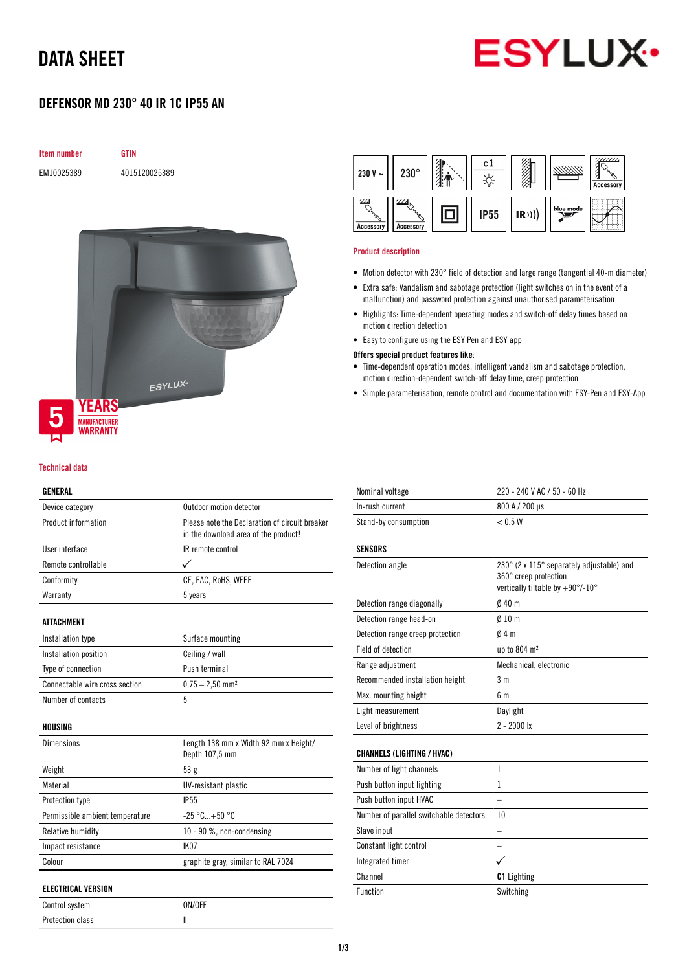# DATA SHEET



### DEFENSOR MD 230° 40 IR 1C IP55 AN

| <b>Item number</b> | GTIN          |  |
|--------------------|---------------|--|
| EM10025389         | 4015120025389 |  |





### GENERAL

| ulinlinal                       |                                                         |
|---------------------------------|---------------------------------------------------------|
| Device category                 | Outdoor motion detector                                 |
| Product information             | Please note the Declaration of circuit breaker          |
|                                 | in the download area of the product!                    |
| User interface                  | IR remote control                                       |
| Remote controllable             | ✓                                                       |
| Conformity                      | CE, EAC, RoHS, WEEE                                     |
| Warranty                        | 5 years                                                 |
| ATTACHMENT                      |                                                         |
| Installation type               | Surface mounting                                        |
| Installation position           | Ceiling / wall                                          |
| Type of connection              | Push terminal                                           |
| Connectable wire cross section  | $0.75 - 2.50$ mm <sup>2</sup>                           |
| Number of contacts              | 5                                                       |
| HOUSING                         |                                                         |
| Dimensions                      | Length 138 mm x Width 92 mm x Height/<br>Depth 107,5 mm |
| Weight                          | 53g                                                     |
| Material                        | UV-resistant plastic                                    |
| Protection type                 | <b>IP55</b>                                             |
| Permissible ambient temperature | $-25 °C+50 °C$                                          |
| Relative humidity               | 10 - 90 %, non-condensing                               |
| Impact resistance               | IK <sub>07</sub>                                        |
| Colour                          | graphite gray, similar to RAL 7024                      |
| <b>ELECTRICAL VERSION</b>       |                                                         |
| Control system                  | ON/OFF                                                  |

Protection class and all the III

| 230 V $\sim$ | $230^\circ$ | c1   |            |           | Accessory |
|--------------|-------------|------|------------|-----------|-----------|
|              | ୵୵୵         | IP55 | $\ket{R})$ | blue mode |           |

#### Product description

Accesso

Accessory

- Motion detector with 230° field of detection and large range (tangential 40-m diameter)
- Extra safe: Vandalism and sabotage protection (light switches on in the event of a malfunction) and password protection against unauthorised parameterisation
- Highlights: Time-dependent operating modes and switch-off delay times based on motion direction detection
- Easy to configure using the ESY Pen and ESY app

#### Offers special product features like:

- Time-dependent operation modes, intelligent vandalism and sabotage protection, motion direction-dependent switch-off delay time, creep protection
- Simple parameterisation, remote control and documentation with ESY-Pen and ESY-App

| Nominal voltage                         | 220 - 240 V AC / 50 - 60 Hz                                                                            |
|-----------------------------------------|--------------------------------------------------------------------------------------------------------|
| In-rush current                         | 800 A / 200 µs                                                                                         |
| Stand-by consumption                    | < 0.5 W                                                                                                |
| SENSORS                                 |                                                                                                        |
| Detection angle                         | 230° (2 x 115° separately adjustable) and<br>360° creep protection<br>vertically tiltable by +90°/-10° |
| Detection range diagonally              | Ø 40 m                                                                                                 |
| Detection range head-on                 | $\emptyset$ 10 m                                                                                       |
| Detection range creep protection        | 04m                                                                                                    |
| <b>Field of detection</b>               | up to 804 m <sup>2</sup>                                                                               |
| Range adjustment                        | Mechanical, electronic                                                                                 |
| Recommended installation height         | 3 m                                                                                                    |
| Max. mounting height                    | 6 m                                                                                                    |
| Light measurement                       | Daylight                                                                                               |
| Level of brightness                     | $2 - 2000$ lx                                                                                          |
| CHANNELS (LIGHTING / HVAC)              |                                                                                                        |
| Number of light channels                | $\mathbf{1}$                                                                                           |
| Push button input lighting              | 1                                                                                                      |
| Push button input HVAC                  |                                                                                                        |
| Number of parallel switchable detectors | 10                                                                                                     |
| Slave input                             |                                                                                                        |
| Constant light control                  |                                                                                                        |
| Integrated timer                        |                                                                                                        |
| Channel                                 | <b>C1</b> Lighting                                                                                     |
| <b>Function</b>                         | Switching                                                                                              |
|                                         |                                                                                                        |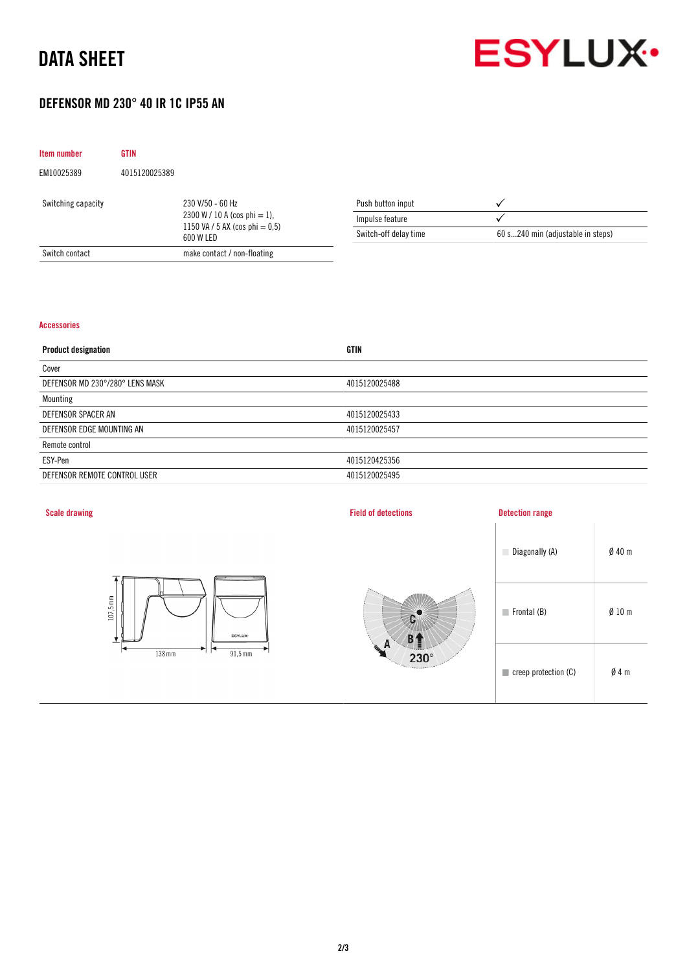# DATA SHEET



## DEFENSOR MD 230° 40 IR 1C IP55 AN

| <b>Item number</b> | <b>GTIN</b>   |                                                                                                      |                       |                                   |
|--------------------|---------------|------------------------------------------------------------------------------------------------------|-----------------------|-----------------------------------|
| EM10025389         | 4015120025389 |                                                                                                      |                       |                                   |
| Switching capacity |               | 230 V/50 - 60 Hz<br>$2300 W / 10 A$ (cos phi = 1),<br>1150 VA / 5 AX (cos phi $= 0.5$ )<br>600 W LED | Push button input     |                                   |
|                    |               |                                                                                                      | Impulse feature       |                                   |
|                    |               |                                                                                                      | Switch-off delay time | 60 s240 min (adjustable in steps) |
| Switch contact     |               | make contact / non-floating                                                                          |                       |                                   |

#### Accessories

| <b>GTIN</b>   |
|---------------|
|               |
| 4015120025488 |
|               |
| 4015120025433 |
| 4015120025457 |
|               |
| 4015120425356 |
| 4015120025495 |
|               |